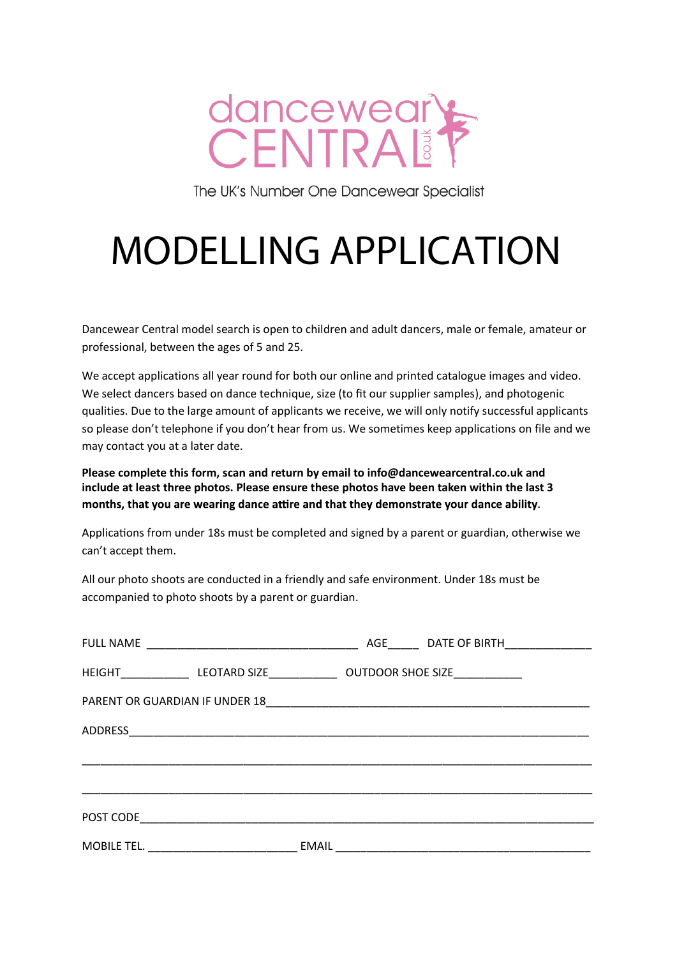

The UK's Number One Dancewear Specialist

# MODELLING APPLICATION

Dancewear Central model search is open to children and adult dancers, male or female, amateur or professional, between the ages of 5 and 25.

We accept applications all year round for both our online and printed catalogue images and video. We select dancers based on dance technique, size (to fit our supplier samples), and photogenic qualities. Due to the large amount of applicants we receive, we will only notify successful applicants so please don't telephone if you don't hear from us. We sometimes keep applications on file and we may contact you at a later date.

**Please complete this form, scan and return by email to [info@dancewearcentral.co.uk a](mailto:info@dancewearcentral.co.uk)nd include at least three photos. Please ensure these photos have been taken within the last 3**  months, that you are wearing dance attire and that they demonstrate your dance ability.

Applications from under 18s must be completed and signed by a parent or guardian, otherwise we can't accept them.

All our photo shoots are conducted in a friendly and safe environment. Under 18s must be accompanied to photo shoots by a parent or guardian.

| <b>FULL NAME</b>                                                                                                                   |       | AGE DATE OF BIRTH                                                                                                     |  |
|------------------------------------------------------------------------------------------------------------------------------------|-------|-----------------------------------------------------------------------------------------------------------------------|--|
| HEIGHT_________________LEOTARD SIZE___________________OUTDOOR SHOE SIZE__________                                                  |       |                                                                                                                       |  |
|                                                                                                                                    |       |                                                                                                                       |  |
|                                                                                                                                    |       |                                                                                                                       |  |
|                                                                                                                                    |       |                                                                                                                       |  |
|                                                                                                                                    |       |                                                                                                                       |  |
| POST CODE<br><u> 1980 - Jan Barbarat, martin da shekara tsarin 1980 - An tsarin 1980 - An tsarin 1980 - An tsarin 1980 - An ts</u> |       |                                                                                                                       |  |
| <u> 1980 - Jan Barbara Barbara, maski politik (</u><br>MOBILE TEL.                                                                 | EMAIL | <u> 1989 - Johann Harry Harry Harry Harry Harry Harry Harry Harry Harry Harry Harry Harry Harry Harry Harry Harry</u> |  |